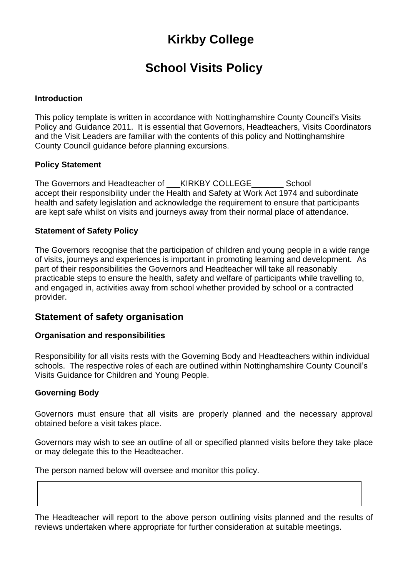# **Kirkby College**

## **School Visits Policy**

## **Introduction**

This policy template is written in accordance with Nottinghamshire County Council's Visits Policy and Guidance 2011. It is essential that Governors, Headteachers, Visits Coordinators and the Visit Leaders are familiar with the contents of this policy and Nottinghamshire County Council guidance before planning excursions.

## **Policy Statement**

The Governors and Headteacher of \_\_\_\_KIRKBY COLLEGE \_\_\_\_\_\_\_\_\_ School accept their responsibility under the Health and Safety at Work Act 1974 and subordinate health and safety legislation and acknowledge the requirement to ensure that participants are kept safe whilst on visits and journeys away from their normal place of attendance.

## **Statement of Safety Policy**

The Governors recognise that the participation of children and young people in a wide range of visits, journeys and experiences is important in promoting learning and development. As part of their responsibilities the Governors and Headteacher will take all reasonably practicable steps to ensure the health, safety and welfare of participants while travelling to, and engaged in, activities away from school whether provided by school or a contracted provider.

## **Statement of safety organisation**

## **Organisation and responsibilities**

Responsibility for all visits rests with the Governing Body and Headteachers within individual schools. The respective roles of each are outlined within Nottinghamshire County Council's Visits Guidance for Children and Young People.

## **Governing Body**

Governors must ensure that all visits are properly planned and the necessary approval obtained before a visit takes place.

Governors may wish to see an outline of all or specified planned visits before they take place or may delegate this to the Headteacher.

The person named below will oversee and monitor this policy.

The Headteacher will report to the above person outlining visits planned and the results of reviews undertaken where appropriate for further consideration at suitable meetings.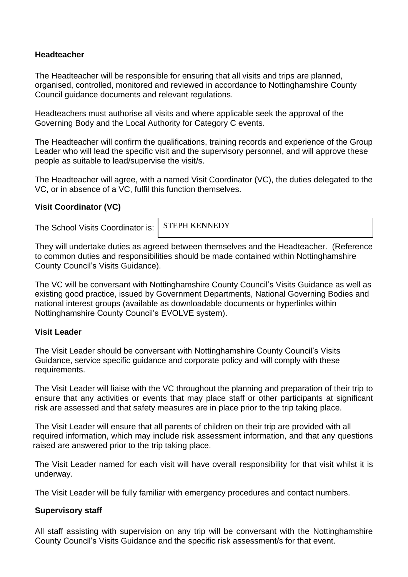## **Headteacher**

The Headteacher will be responsible for ensuring that all visits and trips are planned, organised, controlled, monitored and reviewed in accordance to Nottinghamshire County Council guidance documents and relevant regulations.

Headteachers must authorise all visits and where applicable seek the approval of the Governing Body and the Local Authority for Category C events.

The Headteacher will confirm the qualifications, training records and experience of the Group Leader who will lead the specific visit and the supervisory personnel, and will approve these people as suitable to lead/supervise the visit/s.

The Headteacher will agree, with a named Visit Coordinator (VC), the duties delegated to the VC, or in absence of a VC, fulfil this function themselves.

## **Visit Coordinator (VC)**

The School Visits Coordinator is:

STEPH KENNEDY

They will undertake duties as agreed between themselves and the Headteacher. (Reference to common duties and responsibilities should be made contained within Nottinghamshire County Council's Visits Guidance).

The VC will be conversant with Nottinghamshire County Council's Visits Guidance as well as existing good practice, issued by Government Departments, National Governing Bodies and national interest groups (available as downloadable documents or hyperlinks within Nottinghamshire County Council's EVOLVE system).

## **Visit Leader**

The Visit Leader should be conversant with Nottinghamshire County Council's Visits Guidance, service specific guidance and corporate policy and will comply with these requirements.

The Visit Leader will liaise with the VC throughout the planning and preparation of their trip to ensure that any activities or events that may place staff or other participants at significant risk are assessed and that safety measures are in place prior to the trip taking place.

The Visit Leader will ensure that all parents of children on their trip are provided with all required information, which may include risk assessment information, and that any questions raised are answered prior to the trip taking place.

The Visit Leader named for each visit will have overall responsibility for that visit whilst it is underway.

The Visit Leader will be fully familiar with emergency procedures and contact numbers.

## **Supervisory staff**

All staff assisting with supervision on any trip will be conversant with the Nottinghamshire County Council's Visits Guidance and the specific risk assessment/s for that event.